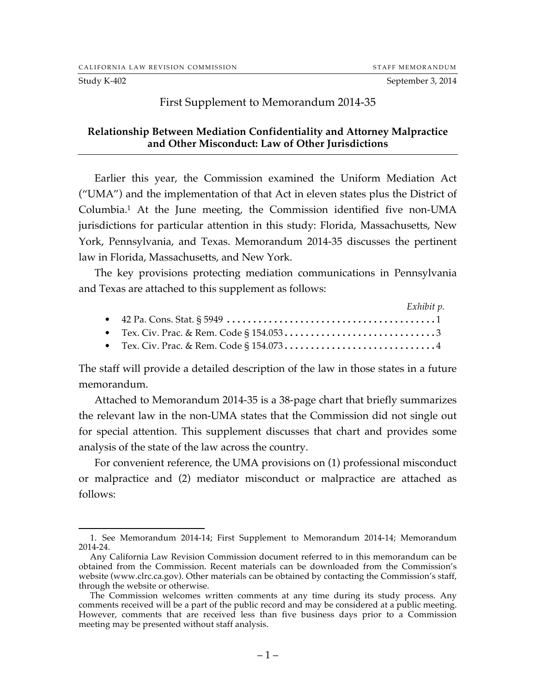Study K-402 September 3, 2014

#### First Supplement to Memorandum 2014-35

### **Relationship Between Mediation Confidentiality and Attorney Malpractice and Other Misconduct: Law of Other Jurisdictions**

Earlier this year, the Commission examined the Uniform Mediation Act ("UMA") and the implementation of that Act in eleven states plus the District of Columbia.1 At the June meeting, the Commission identified five non-UMA jurisdictions for particular attention in this study: Florida, Massachusetts, New York, Pennsylvania, and Texas. Memorandum 2014-35 discusses the pertinent law in Florida, Massachusetts, and New York.

The key provisions protecting mediation communications in Pennsylvania and Texas are attached to this supplement as follows:

|  | Exhibit p. |
|--|------------|
|  |            |
|  |            |
|  |            |

The staff will provide a detailed description of the law in those states in a future memorandum.

Attached to Memorandum 2014-35 is a 38-page chart that briefly summarizes the relevant law in the non-UMA states that the Commission did not single out for special attention. This supplement discusses that chart and provides some analysis of the state of the law across the country.

For convenient reference, the UMA provisions on (1) professional misconduct or malpractice and (2) mediator misconduct or malpractice are attached as follows:

 <sup>1.</sup> See Memorandum 2014-14; First Supplement to Memorandum 2014-14; Memorandum 2014-24.

Any California Law Revision Commission document referred to in this memorandum can be obtained from the Commission. Recent materials can be downloaded from the Commission's website (www.clrc.ca.gov). Other materials can be obtained by contacting the Commission's staff, through the website or otherwise.

The Commission welcomes written comments at any time during its study process. Any comments received will be a part of the public record and may be considered at a public meeting. However, comments that are received less than five business days prior to a Commission meeting may be presented without staff analysis.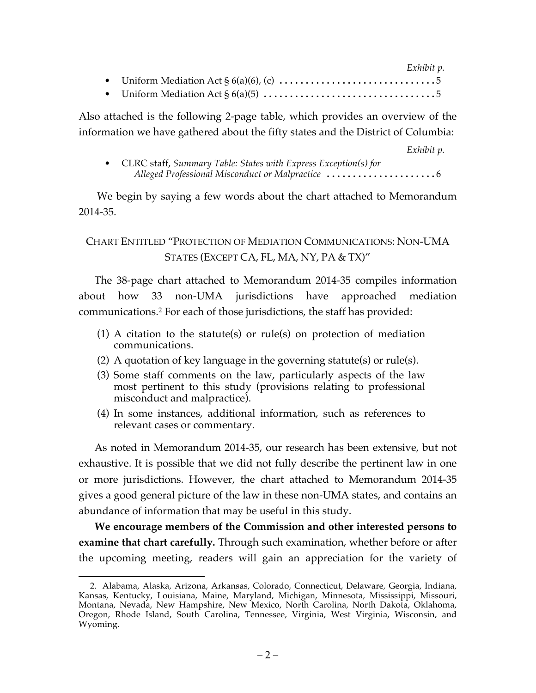|  | Exhibit p. |  |
|--|------------|--|
|  |            |  |
|  |            |  |

Also attached is the following 2-page table, which provides an overview of the information we have gathered about the fifty states and the District of Columbia:

*Exhibit p.*

| • CLRC staff, Summary Table: States with Express Exception(s) for |
|-------------------------------------------------------------------|
|                                                                   |

We begin by saying a few words about the chart attached to Memorandum 2014-35.

CHART ENTITLED "PROTECTION OF MEDIATION COMMUNICATIONS: NON-UMA STATES (EXCEPT CA, FL, MA, NY, PA & TX)"

The 38-page chart attached to Memorandum 2014-35 compiles information about how 33 non-UMA jurisdictions have approached mediation communications.2 For each of those jurisdictions, the staff has provided:

- (1) A citation to the statute(s) or rule(s) on protection of mediation communications.
- (2) A quotation of key language in the governing statute(s) or rule(s).
- (3) Some staff comments on the law, particularly aspects of the law most pertinent to this study (provisions relating to professional misconduct and malpractice).
- (4) In some instances, additional information, such as references to relevant cases or commentary.

As noted in Memorandum 2014-35, our research has been extensive, but not exhaustive. It is possible that we did not fully describe the pertinent law in one or more jurisdictions. However, the chart attached to Memorandum 2014-35 gives a good general picture of the law in these non-UMA states, and contains an abundance of information that may be useful in this study.

**We encourage members of the Commission and other interested persons to examine that chart carefully.** Through such examination, whether before or after the upcoming meeting, readers will gain an appreciation for the variety of

 <sup>2.</sup> Alabama, Alaska, Arizona, Arkansas, Colorado, Connecticut, Delaware, Georgia, Indiana, Kansas, Kentucky, Louisiana, Maine, Maryland, Michigan, Minnesota, Mississippi, Missouri, Montana, Nevada, New Hampshire, New Mexico, North Carolina, North Dakota, Oklahoma, Oregon, Rhode Island, South Carolina, Tennessee, Virginia, West Virginia, Wisconsin, and Wyoming.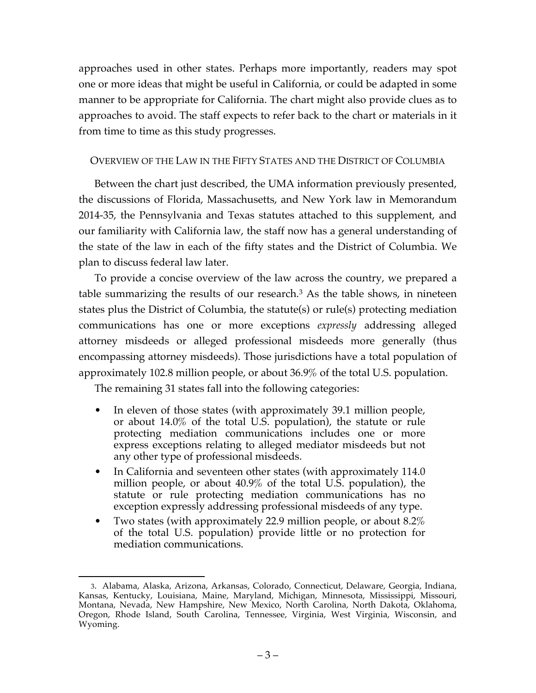approaches used in other states. Perhaps more importantly, readers may spot one or more ideas that might be useful in California, or could be adapted in some manner to be appropriate for California. The chart might also provide clues as to approaches to avoid. The staff expects to refer back to the chart or materials in it from time to time as this study progresses.

## OVERVIEW OF THE LAW IN THE FIFTY STATES AND THE DISTRICT OF COLUMBIA

Between the chart just described, the UMA information previously presented, the discussions of Florida, Massachusetts, and New York law in Memorandum 2014-35, the Pennsylvania and Texas statutes attached to this supplement, and our familiarity with California law, the staff now has a general understanding of the state of the law in each of the fifty states and the District of Columbia. We plan to discuss federal law later.

To provide a concise overview of the law across the country, we prepared a table summarizing the results of our research.3 As the table shows, in nineteen states plus the District of Columbia, the statute(s) or rule(s) protecting mediation communications has one or more exceptions *expressly* addressing alleged attorney misdeeds or alleged professional misdeeds more generally (thus encompassing attorney misdeeds). Those jurisdictions have a total population of approximately 102.8 million people, or about 36.9% of the total U.S. population.

The remaining 31 states fall into the following categories:

- In eleven of those states (with approximately 39.1 million people, or about 14.0% of the total U.S. population), the statute or rule protecting mediation communications includes one or more express exceptions relating to alleged mediator misdeeds but not any other type of professional misdeeds.
- In California and seventeen other states (with approximately 114.0 million people, or about 40.9% of the total U.S. population), the statute or rule protecting mediation communications has no exception expressly addressing professional misdeeds of any type.
- Two states (with approximately 22.9 million people, or about 8.2% of the total U.S. population) provide little or no protection for mediation communications.

 <sup>3.</sup> Alabama, Alaska, Arizona, Arkansas, Colorado, Connecticut, Delaware, Georgia, Indiana, Kansas, Kentucky, Louisiana, Maine, Maryland, Michigan, Minnesota, Mississippi, Missouri, Montana, Nevada, New Hampshire, New Mexico, North Carolina, North Dakota, Oklahoma, Oregon, Rhode Island, South Carolina, Tennessee, Virginia, West Virginia, Wisconsin, and Wyoming.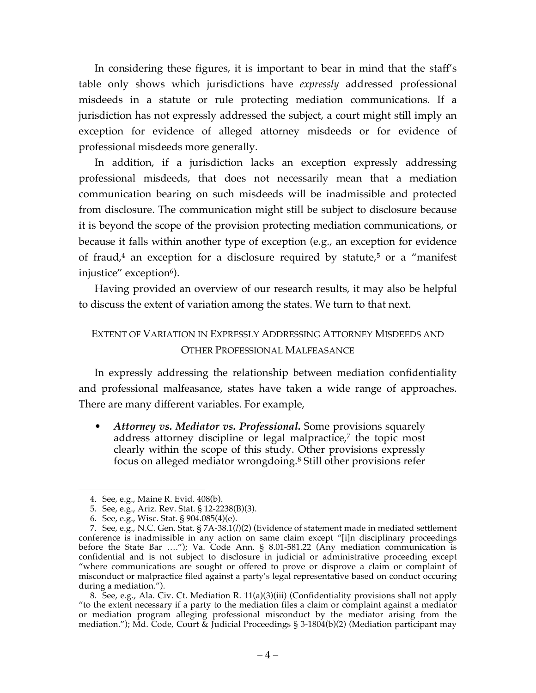In considering these figures, it is important to bear in mind that the staff's table only shows which jurisdictions have *expressly* addressed professional misdeeds in a statute or rule protecting mediation communications. If a jurisdiction has not expressly addressed the subject, a court might still imply an exception for evidence of alleged attorney misdeeds or for evidence of professional misdeeds more generally.

In addition, if a jurisdiction lacks an exception expressly addressing professional misdeeds, that does not necessarily mean that a mediation communication bearing on such misdeeds will be inadmissible and protected from disclosure. The communication might still be subject to disclosure because it is beyond the scope of the provision protecting mediation communications, or because it falls within another type of exception (e.g., an exception for evidence of fraud,<sup>4</sup> an exception for a disclosure required by statute,<sup>5</sup> or a "manifest" injustice" exception<sup>6</sup>).

Having provided an overview of our research results, it may also be helpful to discuss the extent of variation among the states. We turn to that next.

# EXTENT OF VARIATION IN EXPRESSLY ADDRESSING ATTORNEY MISDEEDS AND OTHER PROFESSIONAL MALFEASANCE

In expressly addressing the relationship between mediation confidentiality and professional malfeasance, states have taken a wide range of approaches. There are many different variables. For example,

• *Attorney vs. Mediator vs. Professional.* Some provisions squarely address attorney discipline or legal malpractice,<sup>7</sup> the topic most clearly within the scope of this study. Other provisions expressly focus on alleged mediator wrongdoing.8 Still other provisions refer

 <sup>4.</sup> See, e.g., Maine R. Evid. 408(b).

<sup>5.</sup> See, e.g., Ariz. Rev. Stat. § 12-2238(B)(3).

<sup>6.</sup> See, e.g., Wisc. Stat. § 904.085(4)(e).

<sup>7.</sup> See, e.g., N.C. Gen. Stat. § 7A-38.1(*l*)(2) (Evidence of statement made in mediated settlement conference is inadmissible in any action on same claim except "[i]n disciplinary proceedings before the State Bar …."); Va. Code Ann. § 8.01-581.22 (Any mediation communication is confidential and is not subject to disclosure in judicial or administrative proceeding except "where communications are sought or offered to prove or disprove a claim or complaint of misconduct or malpractice filed against a party's legal representative based on conduct occuring during a mediation.").

<sup>8.</sup> See, e.g., Ala. Civ. Ct. Mediation R. 11(a)(3)(iii) (Confidentiality provisions shall not apply "to the extent necessary if a party to the mediation files a claim or complaint against a mediator or mediation program alleging professional misconduct by the mediator arising from the mediation."); Md. Code, Court & Judicial Proceedings § 3-1804(b)(2) (Mediation participant may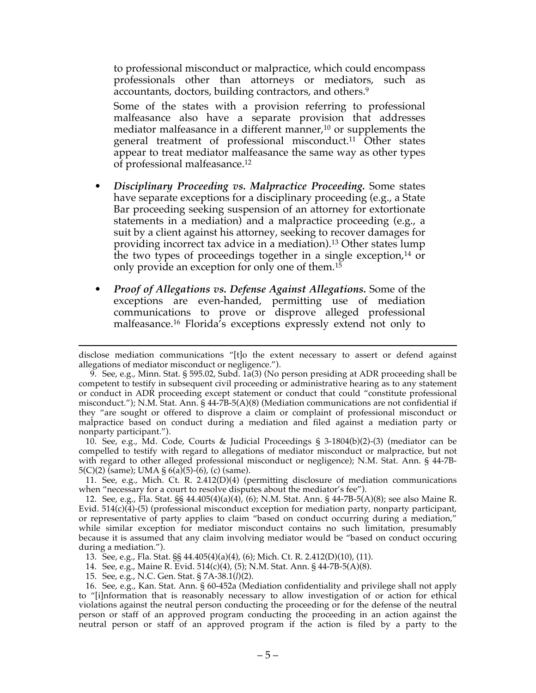to professional misconduct or malpractice, which could encompass professionals other than attorneys or mediators, such as accountants, doctors, building contractors, and others.<sup>9</sup>

Some of the states with a provision referring to professional malfeasance also have a separate provision that addresses mediator malfeasance in a different manner, <sup>10</sup> or supplements the general treatment of professional misconduct.<sup>11</sup> Other states appear to treat mediator malfeasance the same way as other types of professional malfeasance.12

- *Disciplinary Proceeding vs. Malpractice Proceeding.* Some states have separate exceptions for a disciplinary proceeding (e.g., a State Bar proceeding seeking suspension of an attorney for extortionate statements in a mediation) and a malpractice proceeding (e.g., a suit by a client against his attorney, seeking to recover damages for providing incorrect tax advice in a mediation).13 Other states lump the two types of proceedings together in a single exception,14 or only provide an exception for only one of them.15
- *Proof of Allegations vs. Defense Against Allegations.* Some of the exceptions are even-handed, permitting use of mediation communications to prove or disprove alleged professional malfeasance.16 Florida's exceptions expressly extend not only to

10. See, e.g., Md. Code, Courts & Judicial Proceedings § 3-1804(b)(2)-(3) (mediator can be compelled to testify with regard to allegations of mediator misconduct or malpractice, but not with regard to other alleged professional misconduct or negligence); N.M. Stat. Ann. § 44-7B-5(C)(2) (same); UMA §  $6(a)$ (5)-( $6$ ), (c) (same).

11. See, e.g., Mich. Ct. R. 2.412(D)(4) (permitting disclosure of mediation communications when "necessary for a court to resolve disputes about the mediator's fee").

12. See, e.g., Fla. Stat. §§ 44.405(4)(a)(4), (6); N.M. Stat. Ann. § 44-7B-5(A)(8); see also Maine R. Evid. 514(c)(4)-(5) (professional misconduct exception for mediation party, nonparty participant, or representative of party applies to claim "based on conduct occurring during a mediation," while similar exception for mediator misconduct contains no such limitation, presumably because it is assumed that any claim involving mediator would be "based on conduct occuring during a mediation.").

13. See, e.g., Fla. Stat. §§ 44.405(4)(a)(4), (6); Mich. Ct. R. 2.412(D)(10), (11).

14. See, e.g., Maine R. Evid. 514(c)(4), (5); N.M. Stat. Ann. § 44-7B-5(A)(8).

15. See, e.g., N.C. Gen. Stat. § 7A-38.1(*l*)(2).

16. See, e.g., Kan. Stat. Ann. § 60-452a (Mediation confidentiality and privilege shall not apply to "[i]nformation that is reasonably necessary to allow investigation of or action for ethical violations against the neutral person conducting the proceeding or for the defense of the neutral person or staff of an approved program conducting the proceeding in an action against the neutral person or staff of an approved program if the action is filed by a party to the

disclose mediation communications "[t]o the extent necessary to assert or defend against allegations of mediator misconduct or negligence.").

<sup>9.</sup> See, e.g., Minn. Stat. § 595.02, Subd. 1a(3) (No person presiding at ADR proceeding shall be competent to testify in subsequent civil proceeding or administrative hearing as to any statement or conduct in ADR proceeding except statement or conduct that could "constitute professional misconduct."); N.M. Stat. Ann. § 44-7B-5(A)(8) (Mediation communications are not confidential if they "are sought or offered to disprove a claim or complaint of professional misconduct or malpractice based on conduct during a mediation and filed against a mediation party or nonparty participant.").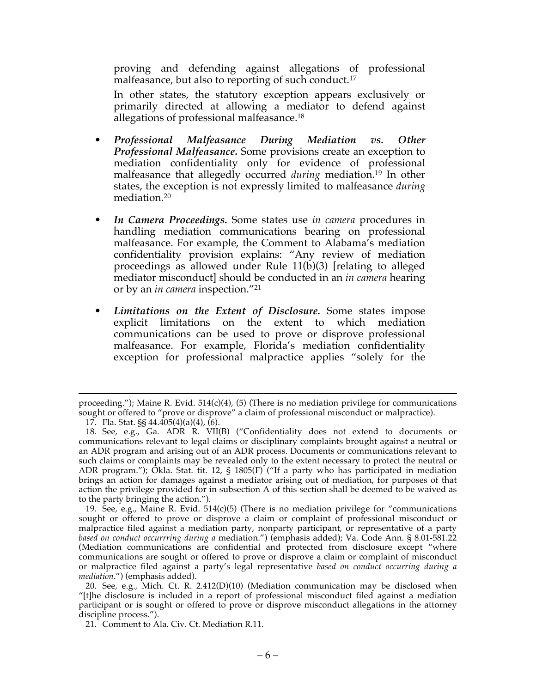proving and defending against allegations of professional malfeasance, but also to reporting of such conduct.17

In other states, the statutory exception appears exclusively or primarily directed at allowing a mediator to defend against allegations of professional malfeasance.18

- *Professional Malfeasance During Mediation vs. Other Professional Malfeasance.* Some provisions create an exception to mediation confidentiality only for evidence of professional malfeasance that allegedly occurred *during* mediation.19 In other states, the exception is not expressly limited to malfeasance *during* mediation.20
- *In Camera Proceedings.* Some states use *in camera* procedures in handling mediation communications bearing on professional malfeasance. For example, the Comment to Alabama's mediation confidentiality provision explains: "Any review of mediation proceedings as allowed under Rule 11(b)(3) [relating to alleged mediator misconduct] should be conducted in an *in camera* hearing or by an *in camera* inspection."21
- *Limitations on the Extent of Disclosure.* Some states impose explicit limitations on the extent to which mediation communications can be used to prove or disprove professional malfeasance. For example, Florida's mediation confidentiality exception for professional malpractice applies "solely for the

19. See, e.g., Maine R. Evid. 514(c)(5) (There is no mediation privilege for "communications sought or offered to prove or disprove a claim or complaint of professional misconduct or malpractice filed against a mediation party, nonparty participant, or representative of a party *based on conduct occurrring during a* mediation.") (emphasis added); Va. Code Ann. § 8.01-581.22 (Mediation communications are confidential and protected from disclosure except "where communications are sought or offered to prove or disprove a claim or complaint of misconduct or malpractice filed against a party's legal representative *based on conduct occurring during a mediation*.") (emphasis added).

proceeding."); Maine R. Evid.  $514(c)(4)$ , (5) (There is no mediation privilege for communications sought or offered to "prove or disprove" a claim of professional misconduct or malpractice).

<sup>17.</sup> Fla. Stat. §§ 44.405(4)(a)(4), (6).

<sup>18.</sup> See, e.g., Ga. ADR R. VII(B) ("Confidentiality does not extend to documents or communications relevant to legal claims or disciplinary complaints brought against a neutral or an ADR program and arising out of an ADR process. Documents or communications relevant to such claims or complaints may be revealed only to the extent necessary to protect the neutral or ADR program."); Okla. Stat. tit. 12, § 1805(F) ("If a party who has participated in mediation brings an action for damages against a mediator arising out of mediation, for purposes of that action the privilege provided for in subsection A of this section shall be deemed to be waived as to the party bringing the action.").

<sup>20.</sup> See, e.g., Mich. Ct. R. 2.412(D)(10) (Mediation communication may be disclosed when "[t]he disclosure is included in a report of professional misconduct filed against a mediation participant or is sought or offered to prove or disprove misconduct allegations in the attorney discipline process.").

<sup>21.</sup> Comment to Ala. Civ. Ct. Mediation R.11.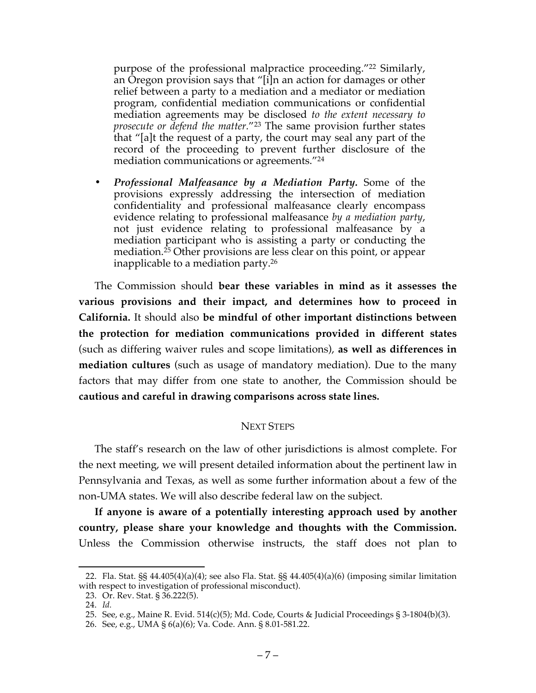purpose of the professional malpractice proceeding."22 Similarly, an Oregon provision says that "[i]n an action for damages or other relief between a party to a mediation and a mediator or mediation program, confidential mediation communications or confidential mediation agreements may be disclosed *to the extent necessary to prosecute or defend the matter.*"23 The same provision further states that "[a]t the request of a party, the court may seal any part of the record of the proceeding to prevent further disclosure of the mediation communications or agreements."24

**•** *Professional Malfeasance by a Mediation Party.* Some of the provisions expressly addressing the intersection of mediation confidentiality and professional malfeasance clearly encompass evidence relating to professional malfeasance *by a mediation party*, not just evidence relating to professional malfeasance by a mediation participant who is assisting a party or conducting the mediation.25 Other provisions are less clear on this point, or appear inapplicable to a mediation party. 26

The Commission should **bear these variables in mind as it assesses the various provisions and their impact, and determines how to proceed in California.** It should also **be mindful of other important distinctions between the protection for mediation communications provided in different states** (such as differing waiver rules and scope limitations), **as well as differences in mediation cultures** (such as usage of mandatory mediation). Due to the many factors that may differ from one state to another, the Commission should be **cautious and careful in drawing comparisons across state lines.**

### NEXT STEPS

The staff's research on the law of other jurisdictions is almost complete. For the next meeting, we will present detailed information about the pertinent law in Pennsylvania and Texas, as well as some further information about a few of the non-UMA states. We will also describe federal law on the subject.

**If anyone is aware of a potentially interesting approach used by another country, please share your knowledge and thoughts with the Commission.** Unless the Commission otherwise instructs, the staff does not plan to

 <sup>22.</sup> Fla. Stat. §§ 44.405(4)(a)(4); see also Fla. Stat. §§ 44.405(4)(a)(6) (imposing similar limitation with respect to investigation of professional misconduct).

<sup>23.</sup> Or. Rev. Stat. § 36.222(5).

<sup>24.</sup> *Id.*

<sup>25.</sup> See, e.g., Maine R. Evid. 514(c)(5); Md. Code, Courts & Judicial Proceedings § 3-1804(b)(3).

<sup>26.</sup> See, e.g., UMA § 6(a)(6); Va. Code. Ann. § 8.01-581.22.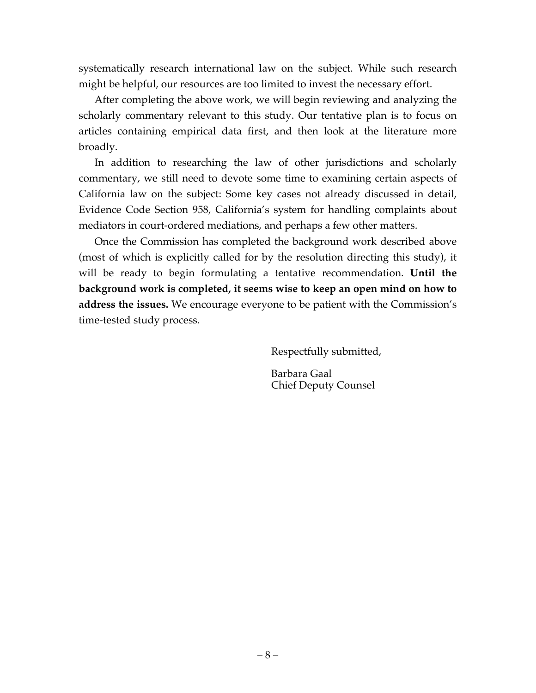systematically research international law on the subject. While such research might be helpful, our resources are too limited to invest the necessary effort.

After completing the above work, we will begin reviewing and analyzing the scholarly commentary relevant to this study. Our tentative plan is to focus on articles containing empirical data first, and then look at the literature more broadly.

In addition to researching the law of other jurisdictions and scholarly commentary, we still need to devote some time to examining certain aspects of California law on the subject: Some key cases not already discussed in detail, Evidence Code Section 958, California's system for handling complaints about mediators in court-ordered mediations, and perhaps a few other matters.

Once the Commission has completed the background work described above (most of which is explicitly called for by the resolution directing this study), it will be ready to begin formulating a tentative recommendation. **Until the background work is completed, it seems wise to keep an open mind on how to address the issues.** We encourage everyone to be patient with the Commission's time-tested study process.

Respectfully submitted,

Barbara Gaal Chief Deputy Counsel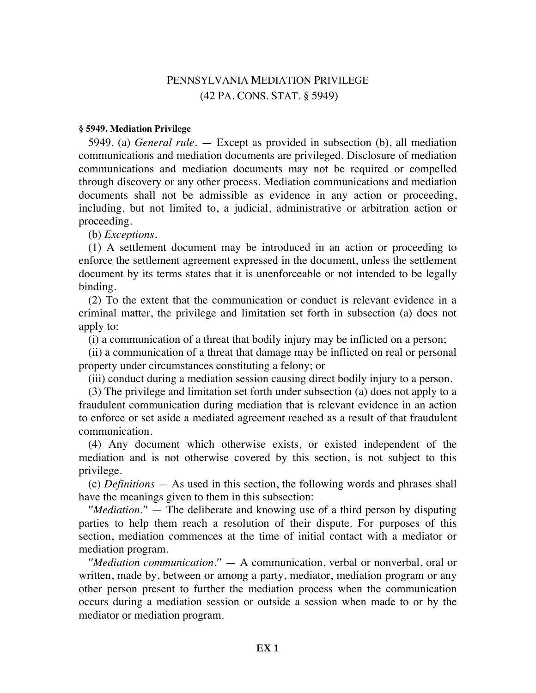## PENNSYLVANIA MEDIATION PRIVILEGE (42 PA. CONS. STAT. § 5949)

#### **§ 5949. Mediation Privilege**

5949. (a) *General rule.* — Except as provided in subsection (b), all mediation communications and mediation documents are privileged. Disclosure of mediation communications and mediation documents may not be required or compelled through discovery or any other process. Mediation communications and mediation documents shall not be admissible as evidence in any action or proceeding, including, but not limited to, a judicial, administrative or arbitration action or proceeding.

(b) *Exceptions.*

(1) A settlement document may be introduced in an action or proceeding to enforce the settlement agreement expressed in the document, unless the settlement document by its terms states that it is unenforceable or not intended to be legally binding.

(2) To the extent that the communication or conduct is relevant evidence in a criminal matter, the privilege and limitation set forth in subsection (a) does not apply to:

(i) a communication of a threat that bodily injury may be inflicted on a person;

(ii) a communication of a threat that damage may be inflicted on real or personal property under circumstances constituting a felony; or

(iii) conduct during a mediation session causing direct bodily injury to a person.

(3) The privilege and limitation set forth under subsection (a) does not apply to a fraudulent communication during mediation that is relevant evidence in an action to enforce or set aside a mediated agreement reached as a result of that fraudulent communication.

(4) Any document which otherwise exists, or existed independent of the mediation and is not otherwise covered by this section, is not subject to this privilege.

(c) *Definitions —* As used in this section, the following words and phrases shall have the meanings given to them in this subsection:

′′*Mediation.*′′ — The deliberate and knowing use of a third person by disputing parties to help them reach a resolution of their dispute. For purposes of this section, mediation commences at the time of initial contact with a mediator or mediation program.

′′*Mediation communication.*′′ — A communication, verbal or nonverbal, oral or written, made by, between or among a party, mediator, mediation program or any other person present to further the mediation process when the communication occurs during a mediation session or outside a session when made to or by the mediator or mediation program.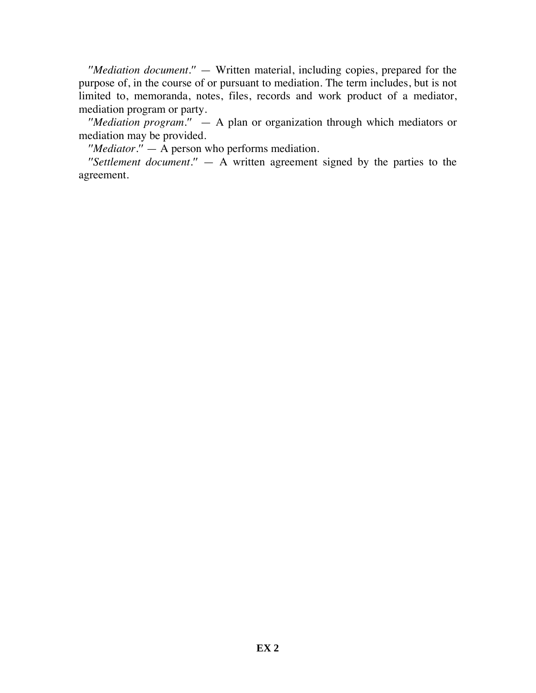′′*Mediation document.*′′ — Written material, including copies, prepared for the purpose of, in the course of or pursuant to mediation. The term includes, but is not limited to, memoranda, notes, files, records and work product of a mediator, mediation program or party.

′′*Mediation program.*′′ — A plan or organization through which mediators or mediation may be provided.

′′*Mediator.*′′ — A person who performs mediation.

 $\mathit{''Set}$ *lement document.* $\mathit{''} - A$  written agreement signed by the parties to the agreement.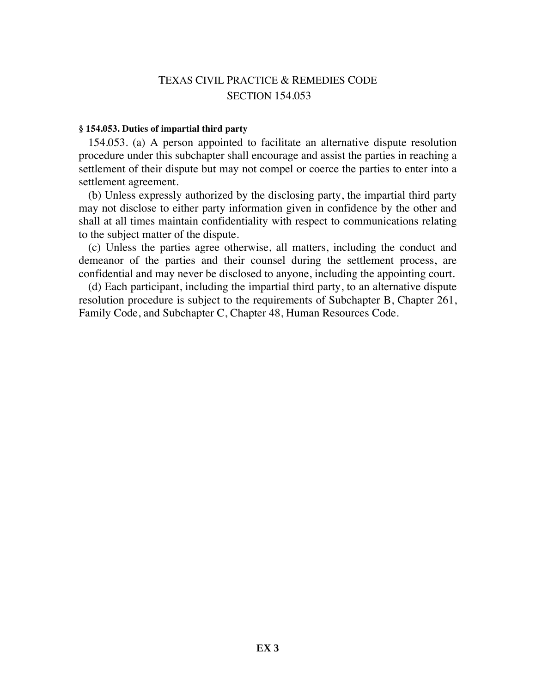## TEXAS CIVIL PRACTICE & REMEDIES CODE SECTION 154.053

#### **§ 154.053. Duties of impartial third party**

154.053. (a) A person appointed to facilitate an alternative dispute resolution procedure under this subchapter shall encourage and assist the parties in reaching a settlement of their dispute but may not compel or coerce the parties to enter into a settlement agreement.

(b) Unless expressly authorized by the disclosing party, the impartial third party may not disclose to either party information given in confidence by the other and shall at all times maintain confidentiality with respect to communications relating to the subject matter of the dispute.

(c) Unless the parties agree otherwise, all matters, including the conduct and demeanor of the parties and their counsel during the settlement process, are confidential and may never be disclosed to anyone, including the appointing court.

(d) Each participant, including the impartial third party, to an alternative dispute resolution procedure is subject to the requirements of Subchapter B, Chapter 261, Family Code, and Subchapter C, Chapter 48, Human Resources Code.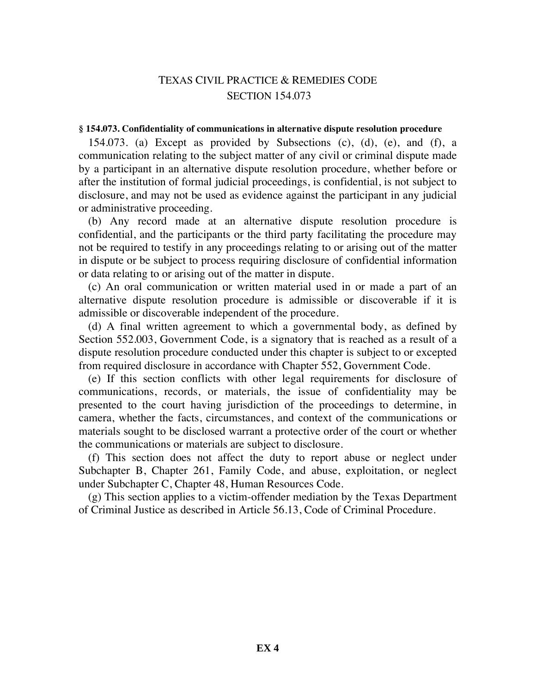## TEXAS CIVIL PRACTICE & REMEDIES CODE SECTION 154.073

#### **§ 154.073. Confidentiality of communications in alternative dispute resolution procedure**

154.073. (a) Except as provided by Subsections (c), (d), (e), and (f), a communication relating to the subject matter of any civil or criminal dispute made by a participant in an alternative dispute resolution procedure, whether before or after the institution of formal judicial proceedings, is confidential, is not subject to disclosure, and may not be used as evidence against the participant in any judicial or administrative proceeding.

(b) Any record made at an alternative dispute resolution procedure is confidential, and the participants or the third party facilitating the procedure may not be required to testify in any proceedings relating to or arising out of the matter in dispute or be subject to process requiring disclosure of confidential information or data relating to or arising out of the matter in dispute.

(c) An oral communication or written material used in or made a part of an alternative dispute resolution procedure is admissible or discoverable if it is admissible or discoverable independent of the procedure.

(d) A final written agreement to which a governmental body, as defined by Section 552.003, Government Code, is a signatory that is reached as a result of a dispute resolution procedure conducted under this chapter is subject to or excepted from required disclosure in accordance with Chapter 552, Government Code.

(e) If this section conflicts with other legal requirements for disclosure of communications, records, or materials, the issue of confidentiality may be presented to the court having jurisdiction of the proceedings to determine, in camera, whether the facts, circumstances, and context of the communications or materials sought to be disclosed warrant a protective order of the court or whether the communications or materials are subject to disclosure.

(f) This section does not affect the duty to report abuse or neglect under Subchapter B, Chapter 261, Family Code, and abuse, exploitation, or neglect under Subchapter C, Chapter 48, Human Resources Code.

(g) This section applies to a victim-offender mediation by the Texas Department of Criminal Justice as described in Article 56.13, Code of Criminal Procedure.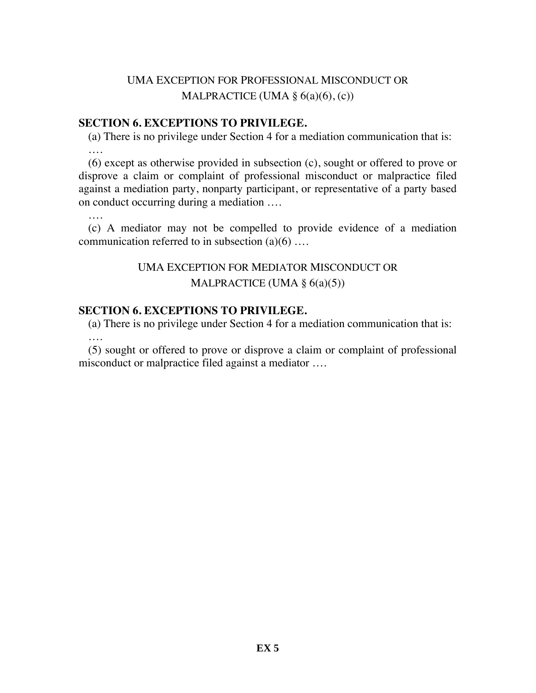# UMA EXCEPTION FOR PROFESSIONAL MISCONDUCT OR MALPRACTICE (UMA  $\S$  6(a)(6), (c))

### **SECTION 6. EXCEPTIONS TO PRIVILEGE.**

(a) There is no privilege under Section 4 for a mediation communication that is: ….

(6) except as otherwise provided in subsection (c), sought or offered to prove or disprove a claim or complaint of professional misconduct or malpractice filed against a mediation party, nonparty participant, or representative of a party based on conduct occurring during a mediation ….

….

(c) A mediator may not be compelled to provide evidence of a mediation communication referred to in subsection  $(a)(6)$  ...

# UMA EXCEPTION FOR MEDIATOR MISCONDUCT OR MALPRACTICE (UMA  $\S$  6(a)(5))

### **SECTION 6. EXCEPTIONS TO PRIVILEGE.**

(a) There is no privilege under Section 4 for a mediation communication that is: ….

(5) sought or offered to prove or disprove a claim or complaint of professional misconduct or malpractice filed against a mediator ….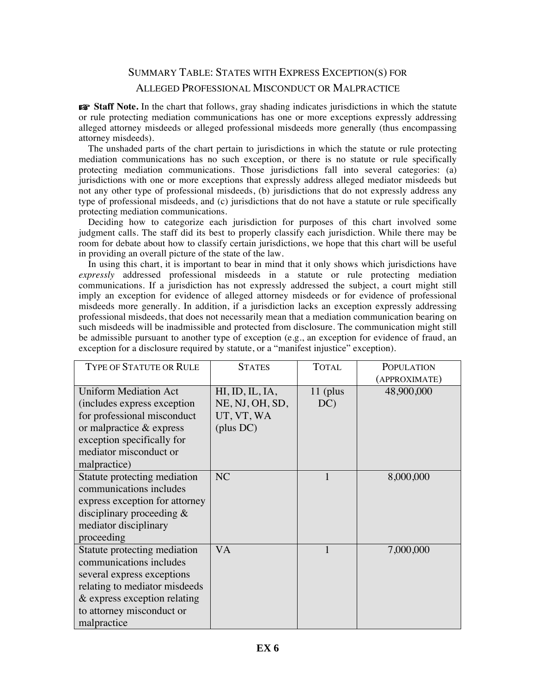# SUMMARY TABLE: STATES WITH EXPRESS EXCEPTION(S) FOR ALLEGED PROFESSIONAL MISCONDUCT OR MALPRACTICE

☞ **Staff Note.** In the chart that follows, gray shading indicates jurisdictions in which the statute or rule protecting mediation communications has one or more exceptions expressly addressing alleged attorney misdeeds or alleged professional misdeeds more generally (thus encompassing attorney misdeeds).

The unshaded parts of the chart pertain to jurisdictions in which the statute or rule protecting mediation communications has no such exception, or there is no statute or rule specifically protecting mediation communications. Those jurisdictions fall into several categories: (a) jurisdictions with one or more exceptions that expressly address alleged mediator misdeeds but not any other type of professional misdeeds, (b) jurisdictions that do not expressly address any type of professional misdeeds, and (c) jurisdictions that do not have a statute or rule specifically protecting mediation communications.

Deciding how to categorize each jurisdiction for purposes of this chart involved some judgment calls. The staff did its best to properly classify each jurisdiction. While there may be room for debate about how to classify certain jurisdictions, we hope that this chart will be useful in providing an overall picture of the state of the law.

In using this chart, it is important to bear in mind that it only shows which jurisdictions have *expressly* addressed professional misdeeds in a statute or rule protecting mediation communications. If a jurisdiction has not expressly addressed the subject, a court might still imply an exception for evidence of alleged attorney misdeeds or for evidence of professional misdeeds more generally. In addition, if a jurisdiction lacks an exception expressly addressing professional misdeeds, that does not necessarily mean that a mediation communication bearing on such misdeeds will be inadmissible and protected from disclosure. The communication might still be admissible pursuant to another type of exception (e.g., an exception for evidence of fraud, an exception for a disclosure required by statute, or a "manifest injustice" exception).

| <b>TYPE OF STATUTE OR RULE</b>                                                                                                                                                                        | <b>STATES</b>                                                 | <b>TOTAL</b>      | <b>POPULATION</b><br>(APPROXIMATE) |
|-------------------------------------------------------------------------------------------------------------------------------------------------------------------------------------------------------|---------------------------------------------------------------|-------------------|------------------------------------|
| <b>Uniform Mediation Act</b><br>(includes express exception)<br>for professional misconduct<br>or malpractice $&$ express<br>exception specifically for<br>mediator misconduct or<br>malpractice)     | HI, ID, IL, IA,<br>NE, NJ, OH, SD,<br>UT, VT, WA<br>(plus DC) | $11$ (plus<br>DC) | 48,900,000                         |
| Statute protecting mediation<br>communications includes<br>express exception for attorney<br>disciplinary proceeding $\&$<br>mediator disciplinary<br>proceeding                                      | NC                                                            | 1                 | 8,000,000                          |
| Statute protecting mediation<br>communications includes<br>several express exceptions<br>relating to mediator misdeeds<br>$\&$ express exception relating<br>to attorney misconduct or<br>malpractice | <b>VA</b>                                                     | $\mathbf{1}$      | 7,000,000                          |